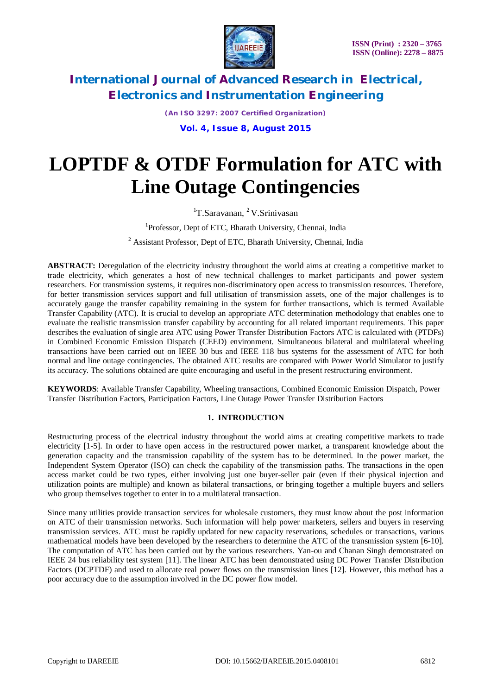

*(An ISO 3297: 2007 Certified Organization)* **Vol. 4, Issue 8, August 2015**

# **LOPTDF & OTDF Formulation for ATC with Line Outage Contingencies**

 ${}^{1}$ T.Saravanan,  ${}^{2}$ V.Srinivasan

<sup>1</sup>Professor, Dept of ETC, Bharath University, Chennai, India

<sup>2</sup> Assistant Professor, Dept of ETC, Bharath University, Chennai, India

ABSTRACT: Deregulation of the electricity industry throughout the world aims at creating a competitive market to trade electricity, which generates a host of new technical challenges to market participants and power system researchers. For transmission systems, it requires non-discriminatory open access to transmission resources. Therefore, for better transmission services support and full utilisation of transmission assets, one of the major challenges is to accurately gauge the transfer capability remaining in the system for further transactions, which is termed Available Transfer Capability (ATC). It is crucial to develop an appropriate ATC determination methodology that enables one to evaluate the realistic transmission transfer capability by accounting for all related important requirements. This paper describes the evaluation of single area ATC using Power Transfer Distribution Factors ATC is calculated with (PTDFs) in Combined Economic Emission Dispatch (CEED) environment. Simultaneous bilateral and multilateral wheeling transactions have been carried out on IEEE 30 bus and IEEE 118 bus systems for the assessment of ATC for both normal and line outage contingencies. The obtained ATC results are compared with Power World Simulator to justify its accuracy. The solutions obtained are quite encouraging and useful in the present restructuring environment.

**KEYWORDS**: Available Transfer Capability, Wheeling transactions, Combined Economic Emission Dispatch, Power Transfer Distribution Factors, Participation Factors, Line Outage Power Transfer Distribution Factors

### **1. INTRODUCTION**

Restructuring process of the electrical industry throughout the world aims at creating competitive markets to trade electricity [1-5]. In order to have open access in the restructured power market, a transparent knowledge about the generation capacity and the transmission capability of the system has to be determined. In the power market, the Independent System Operator (ISO) can check the capability of the transmission paths. The transactions in the open access market could be two types, either involving just one buyer-seller pair (even if their physical injection and utilization points are multiple) and known as bilateral transactions, or bringing together a multiple buyers and sellers who group themselves together to enter in to a multilateral transaction.

Since many utilities provide transaction services for wholesale customers, they must know about the post information on ATC of their transmission networks. Such information will help power marketers, sellers and buyers in reserving transmission services. ATC must be rapidly updated for new capacity reservations, schedules or transactions, various mathematical models have been developed by the researchers to determine the ATC of the transmission system [6-10]. The computation of ATC has been carried out by the various researchers. Yan-ou and Chanan Singh demonstrated on IEEE 24 bus reliability test system [11]. The linear ATC has been demonstrated using DC Power Transfer Distribution Factors (DCPTDF) and used to allocate real power flows on the transmission lines [12]. However, this method has a poor accuracy due to the assumption involved in the DC power flow model.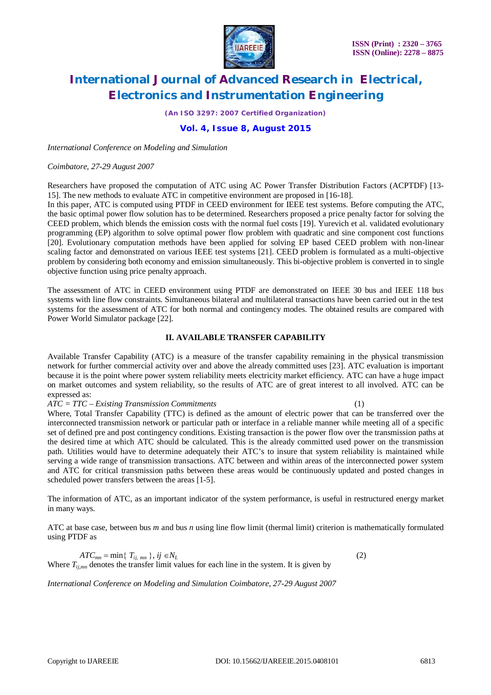

*(An ISO 3297: 2007 Certified Organization)*

### **Vol. 4, Issue 8, August 2015**

*International Conference on Modeling and Simulation*

#### *Coimbatore, 27-29 August 2007*

Researchers have proposed the computation of ATC using AC Power Transfer Distribution Factors (ACPTDF) [13- 15]. The new methods to evaluate ATC in competitive environment are proposed in [16-18].

In this paper, ATC is computed using PTDF in CEED environment for IEEE test systems. Before computing the ATC, the basic optimal power flow solution has to be determined. Researchers proposed a price penalty factor for solving the CEED problem, which blends the emission costs with the normal fuel costs [19]. Yurevich et al. validated evolutionary programming (EP) algorithm to solve optimal power flow problem with quadratic and sine component cost functions [20]. Evolutionary computation methods have been applied for solving EP based CEED problem with non-linear scaling factor and demonstrated on various IEEE test systems [21]. CEED problem is formulated as a multi-objective problem by considering both economy and emission simultaneously. This bi-objective problem is converted in to single objective function using price penalty approach.

The assessment of ATC in CEED environment using PTDF are demonstrated on IEEE 30 bus and IEEE 118 bus systems with line flow constraints. Simultaneous bilateral and multilateral transactions have been carried out in the test systems for the assessment of ATC for both normal and contingency modes. The obtained results are compared with Power World Simulator package [22].

#### **II. AVAILABLE TRANSFER CAPABILITY**

Available Transfer Capability (ATC) is a measure of the transfer capability remaining in the physical transmission network for further commercial activity over and above the already committed uses [23]. ATC evaluation is important because it is the point where power system reliability meets electricity market efficiency. ATC can have a huge impact on market outcomes and system reliability, so the results of ATC are of great interest to all involved. ATC can be expressed as:

*ATC = TTC – Existing Transmission Commitments* (1)

Where, Total Transfer Capability (TTC) is defined as the amount of electric power that can be transferred over the interconnected transmission network or particular path or interface in a reliable manner while meeting all of a specific set of defined pre and post contingency conditions. Existing transaction is the power flow over the transmission paths at the desired time at which ATC should be calculated. This is the already committed used power on the transmission path. Utilities would have to determine adequately their ATC's to insure that system reliability is maintained while serving a wide range of transmission transactions. ATC between and within areas of the interconnected power system and ATC for critical transmission paths between these areas would be continuously updated and posted changes in scheduled power transfers between the areas [1-5].

The information of ATC, as an important indicator of the system performance, is useful in restructured energy market in many ways.

ATC at base case, between bus *m* and bus *n* using line flow limit (thermal limit) criterion is mathematically formulated using PTDF as

 $ATC_{mn} = \min\{T_{ii, mn}\}, i j \in N_L$  (2) Where  $T_{j,lmn}$  denotes the transfer limit values for each line in the system. It is given by

*International Conference on Modeling and Simulation Coimbatore, 27-29 August 2007*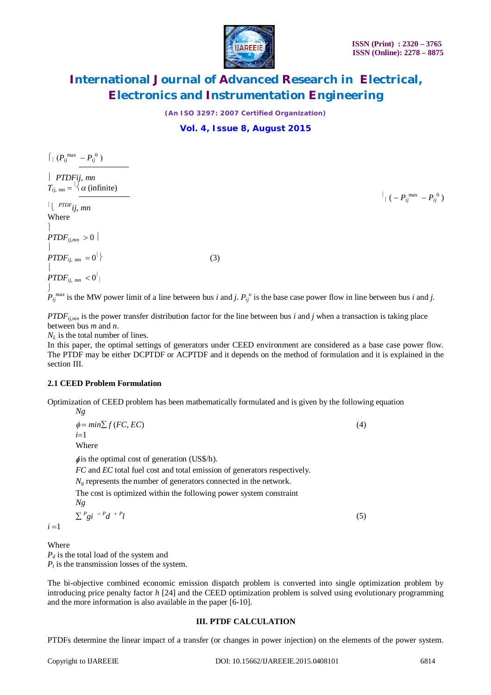

 $\int_0^1 ( - P_{ij}^{\ \ max} - P_{ij}^{\ 0} )$ 

# **International Journal of Advanced Research in Electrical, Electronics and Instrumentation Engineering**

*(An ISO 3297: 2007 Certified Organization)*

### **Vol. 4, Issue 8, August 2015**

 $\int$ <sup>*P*</sup>*ij*</sub><sup>*m*</sup>*n*<sub>*ij*</sub><sup>*n*</sup><sub>*n*<sup>*n*</sup></sup>*j*<sup>*n*</sup><sub>*ij*</sub><sup>*n*</sup>)</sub>

 *PTDFij*, *mn*  $T_{ij, mn} = \frac{1}{2} \alpha \text{ (infinite)}$ 

  *PTDFij*, *mn* Where

 $\begin{array}{c} \hline \end{array}$ *PTDF*<sub>ii,*mn*</sub>  $>0$  $\begin{array}{c} \hline \end{array}$  $\begin{aligned} &PTDF_{ij, \; mn} \; = 0^\parallel \end{aligned}$  $\}$  (3)  $\begin{array}{c} \hline \end{array}$  $\left. \rho TDF_{ij,\;mn}\right. <0^{\parallel}$  |

J  $P_{ij}^{max}$  is the MW power limit of a line between bus *i* and *j*.  $P_{ij}^{o}$  is the base case power flow in line between bus *i* and *j*.

*PTDFij,mn* is the power transfer distribution factor for the line between bus *i* and *j* when a transaction is taking place between bus *m* and *n*.

 $N_L$  is the total number of lines.

In this paper, the optimal settings of generators under CEED environment are considered as a base case power flow. The PTDF may be either DCPTDF or ACPTDF and it depends on the method of formulation and it is explained in the section III.

### **2.1 CEED Problem Formulation**

Optimization of CEED problem has been mathematically formulated and is given by the following equation

*Ng*  $\phi = min \sum f(FC, EC)$  (4)  $i=1$ Where

*φ* is the optimal cost of generation (US\$/h).

*FC* and *EC* total fuel cost and total emission of generators respectively.

 $N_g$  represents the number of generators connected in the network.

The cost is optimized within the following power system constraint

$$
N g
$$

 $\sum$ <sup>*P*</sup>g*i*  $=$ <sup>*P*</sup>*d*  $+$ <sup>*P*</sup> *l* (5)

 $i = 1$ 

Where

*P<sup>d</sup>* is the total load of the system and  $P_l$  is the transmission losses of the system.

The bi-objective combined economic emission dispatch problem is converted into single optimization problem by introducing price penalty factor *h* [24] and the CEED optimization problem is solved using evolutionary programming and the more information is also available in the paper [6-10].

### **III. PTDF CALCULATION**

PTDFs determine the linear impact of a transfer (or changes in power injection) on the elements of the power system.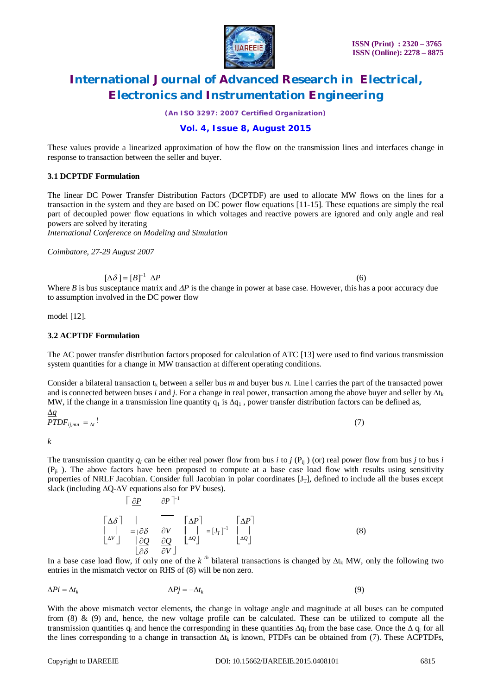

*(An ISO 3297: 2007 Certified Organization)*

### **Vol. 4, Issue 8, August 2015**

These values provide a linearized approximation of how the flow on the transmission lines and interfaces change in response to transaction between the seller and buyer.

#### **3.1 DCPTDF Formulation**

The linear DC Power Transfer Distribution Factors (DCPTDF) are used to allocate MW flows on the lines for a transaction in the system and they are based on DC power flow equations [11-15]. These equations are simply the real part of decoupled power flow equations in which voltages and reactive powers are ignored and only angle and real powers are solved by iterating

*International Conference on Modeling and Simulation*

*Coimbatore, 27-29 August 2007*

 $\left[\Delta\delta\right] = \left[B\right]^{-1}$  $\Delta P$  (6)

Where *B* is bus susceptance matrix and  $\Delta P$  is the change in power at base case. However, this has a poor accuracy due to assumption involved in the DC power flow

model [12].

#### **3.2 ACPTDF Formulation**

The AC power transfer distribution factors proposed for calculation of ATC [13] were used to find various transmission system quantities for a change in MW transaction at different operating conditions.

Consider a bilateral transaction  $t_k$  between a seller bus *m* and buyer bus *n*. Line 1 carries the part of the transacted power and is connected between buses *i* and *j*. For a change in real power, transaction among the above buyer and seller by  $\Delta t_k$ MW, if the change in a transmission line quantity  $q_1$  is  $\Delta q_1$ , power transfer distribution factors can be defined as,

 $\Delta q$  $\textit{PTDF}_{ij,mn} = \frac{l}{\Delta t}$ 

*k*

The transmission quantity  $q_l$  can be either real power flow from bus *i* to *j* (P<sub>ii</sub>) (or) real power flow from bus *j* to bus *i*  $(P_{ii})$ . The above factors have been proposed to compute at a base case load flow with results using sensitivity properties of NRLF Jacobian. Consider full Jacobian in polar coordinates  $[J_T]$ , defined to include all the buses except slack (including **∆**Q-**∆**V equations also for PV buses).

> $|\Delta \delta|$   $|\Delta P|$   $|\Delta P|$  $\bigcap$   $\partial P$  $\partial P$ <sup>1</sup>  $\begin{array}{|c|c|c|c|c|c|} \hline \end{array}$   $= [\partial \delta \quad \partial V \quad \begin{array}{|c|c|c|c|c|} \hline \end{array}$   $= [J_T]^{-1} \quad \begin{array}{|c|c|c|c|c|} \hline \end{array}$  (8)  $\left\lfloor \frac{\Delta V}{\Delta t} \right\rfloor$   $\left\lfloor \frac{\partial Q}{\partial x} \right\rfloor$   $\left\lfloor \frac{\Delta Q}{\Delta t} \right\rfloor$   $\left\lfloor \frac{\Delta Q}{\Delta t} \right\rfloor$  $\begin{bmatrix} \partial \delta & \partial V \end{bmatrix}$

In a base case load flow, if only one of the  $k^{th}$  bilateral transactions is changed by  $\Delta t_k$  MW, only the following two entries in the mismatch vector on RHS of (8) will be non zero.

$$
\Delta P i = \Delta t_k \qquad \Delta P j = -\Delta t_k \tag{9}
$$

With the above mismatch vector elements, the change in voltage angle and magnitude at all buses can be computed from  $(8)$  &  $(9)$  and, hence, the new voltage profile can be calculated. These can be utilized to compute all the transmission quantities q<sub>u</sub> and hence the corresponding in these quantities  $\Delta q_l$  from the base case. Once the  $\Delta q_l$  for all the lines corresponding to a change in transaction  $\Delta t_k$  is known, PTDFs can be obtained from (7). These ACPTDFs,

(7)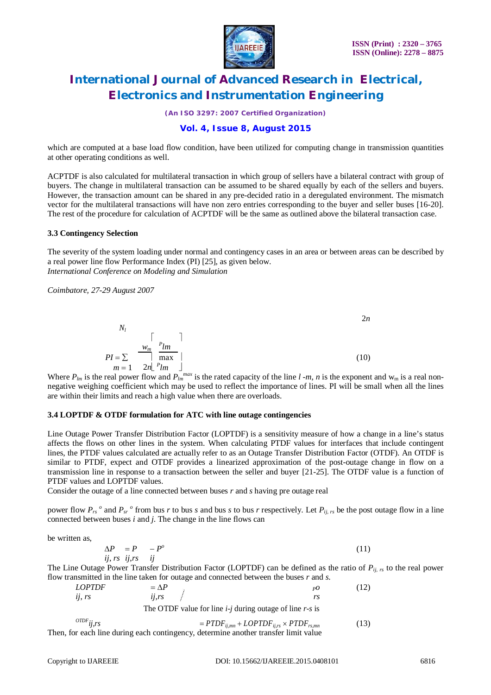

*(An ISO 3297: 2007 Certified Organization)*

### **Vol. 4, Issue 8, August 2015**

which are computed at a base load flow condition, have been utilized for computing change in transmission quantities at other operating conditions as well.

ACPTDF is also calculated for multilateral transaction in which group of sellers have a bilateral contract with group of buyers. The change in multilateral transaction can be assumed to be shared equally by each of the sellers and buyers. However, the transaction amount can be shared in any pre-decided ratio in a deregulated environment. The mismatch vector for the multilateral transactions will have non zero entries corresponding to the buyer and seller buses [16-20]. The rest of the procedure for calculation of ACPTDF will be the same as outlined above the bilateral transaction case.

#### **3.3 Contingency Selection**

The severity of the system loading under normal and contingency cases in an area or between areas can be described by a real power line flow Performance Index (PI) [25], as given below. *International Conference on Modeling and Simulation*

*Coimbatore, 27-29 August 2007*



Where  $P_{lm}$  is the real power flow and  $P_{lm}^{max}$  is the rated capacity of the line  $l$  -*m*, *n* is the exponent and w<sub>m</sub> is a real nonnegative weighing coefficient which may be used to reflect the importance of lines. PI will be small when all the lines are within their limits and reach a high value when there are overloads.

### **3.4 LOPTDF & OTDF formulation for ATC with line outage contingencies**

Line Outage Power Transfer Distribution Factor (LOPTDF) is a sensitivity measure of how a change in a line's status affects the flows on other lines in the system. When calculating PTDF values for interfaces that include contingent lines, the PTDF values calculated are actually refer to as an Outage Transfer Distribution Factor (OTDF). An OTDF is similar to PTDF, expect and OTDF provides a linearized approximation of the post-outage change in flow on a transmission line in response to a transaction between the seller and buyer [21-25]. The OTDF value is a function of PTDF values and LOPTDF values.

Consider the outage of a line connected between buses *r* and *s* having pre outage real

power flow  $P_{rs}$ <sup>o</sup> and  $P_{sr}$ <sup>o</sup> from bus *r* to bus *s* and bus *s* to bus *r* respectively. Let  $P_{ij, rs}$  be the post outage flow in a line connected between buses *i* and *j*. The change in the line flows can

be written as,

$$
\Delta P = P - P^{\circ}
$$
  
*ij, rs ij, rs ij* (11)

The Line Outage Power Transfer Distribution Factor (LOPTDF) can be defined as the ratio of *Pij, rs* to the real power flow transmitted in the line taken for outage and connected between the buses *r* and *s*.

| <i>LOPTDF</i><br>U, TS         | $=\Delta P$<br>ii.rs | $_{pO}$<br>rs                                                                                                                                         | (12) |
|--------------------------------|----------------------|-------------------------------------------------------------------------------------------------------------------------------------------------------|------|
|                                |                      | The OTDF value for line $i$ -j during outage of line $r$ -s is                                                                                        |      |
| $^{ODF}$ <i>ii</i> , <i>rs</i> |                      | $= P T D F_{ij,mn} + L OPT D F_{ij,rs} \times P T D F_{rs,mn}$<br>Then, for each line during each contingency, determine another transfer limit value | (13) |
|                                |                      |                                                                                                                                                       |      |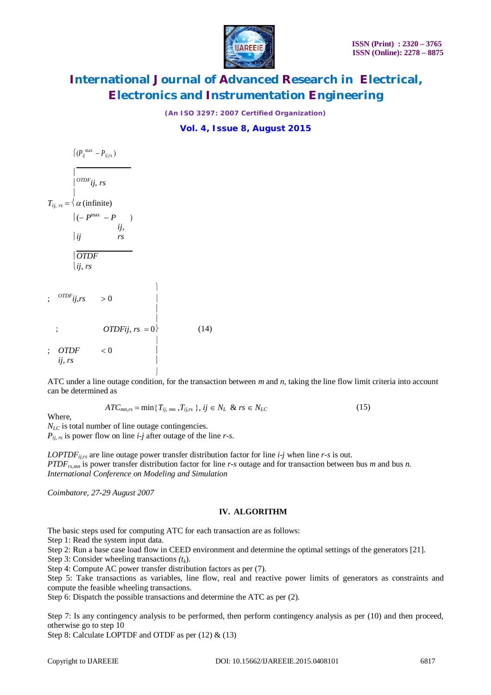

*(An ISO 3297: 2007 Certified Organization)*

**Vol. 4, Issue 8, August 2015**

 $(P_{ij}^{max} - P_{ij,rs})$  $\begin{array}{c} \hline \end{array}$  $^{OTDF}$ *ij*, *rs*  $\begin{array}{c} \hline \end{array}$  $T_{ii, rs} = \langle \alpha \text{ (infinite)} \rangle$  $|(-P^{max} - P)$ *ij ij*, *rs OTDF ij*, *rs*  $\mathbf{I}$ ;  $^{OTDF}$ *ij*,*rs* > 0  $\begin{array}{c} \hline \end{array}$ ; L  $OTDFii$ ,  $rs = 0$  (14)  $\mathbf{r}$  $;$   $OTDF$   $< 0$ *ij*, *rs*

ATC under a line outage condition, for the transaction between *m* and *n,* taking the line flow limit criteria into account can be determined as

$$
ATC_{mn,rs} = \min\{T_{ij, mn}, T_{ij,rs}\}, \, ij \in N_L \& rs \in N_{LC}
$$
\n(15)

Where,

 $N_{LC}$  is total number of line outage contingencies. *Pij, rs* is power flow on line *i-j* after outage of the line *r-s*.

J

*LOPTDFij,rs* are line outage power transfer distribution factor for line *i-j* when line *r-s* is out. *PTDFrs,mn* is power transfer distribution factor for line *r-s* outage and for transaction between bus *m* and bus *n. International Conference on Modeling and Simulation*

*Coimbatore, 27-29 August 2007*

### **IV. ALGORITHM**

The basic steps used for computing ATC for each transaction are as follows:

Step 1: Read the system input data.

Step 2: Run a base case load flow in CEED environment and determine the optimal settings of the generators [21].

Step 3: Consider wheeling transactions *(tk*).

Step 4: Compute AC power transfer distribution factors as per (7).

Step 5: Take transactions as variables, line flow, real and reactive power limits of generators as constraints and compute the feasible wheeling transactions.

Step 6: Dispatch the possible transactions and determine the ATC as per (2).

Step 7: Is any contingency analysis to be performed, then perform contingency analysis as per (10) and then proceed, otherwise go to step 10

Step 8: Calculate LOPTDF and OTDF as per (12) & (13)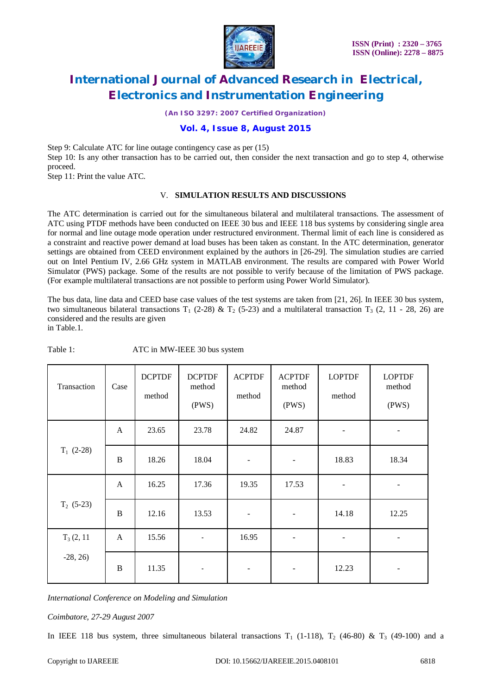

*(An ISO 3297: 2007 Certified Organization)*

### **Vol. 4, Issue 8, August 2015**

Step 9: Calculate ATC for line outage contingency case as per (15) Step 10: Is any other transaction has to be carried out, then consider the next transaction and go to step 4, otherwise proceed.

Step 11: Print the value ATC.

#### V. **SIMULATION RESULTS AND DISCUSSIONS**

The ATC determination is carried out for the simultaneous bilateral and multilateral transactions. The assessment of ATC using PTDF methods have been conducted on IEEE 30 bus and IEEE 118 bus systems by considering single area for normal and line outage mode operation under restructured environment. Thermal limit of each line is considered as a constraint and reactive power demand at load buses has been taken as constant. In the ATC determination, generator settings are obtained from CEED environment explained by the authors in [26-29]. The simulation studies are carried out on Intel Pentium IV, 2.66 GHz system in MATLAB environment. The results are compared with Power World Simulator (PWS) package. Some of the results are not possible to verify because of the limitation of PWS package. (For example multilateral transactions are not possible to perform using Power World Simulator).

The bus data, line data and CEED base case values of the test systems are taken from [21, 26]. In IEEE 30 bus system, two simultaneous bilateral transactions  $T_1$  (2-28) &  $T_2$  (5-23) and a multilateral transaction  $T_3$  (2, 11 - 28, 26) are considered and the results are given

in Table.1.

| Transaction  | Case     | <b>DCPTDF</b><br>method | <b>DCPTDF</b><br>method<br>(PWS) | <b>ACPTDF</b><br>method  | <b>ACPTDF</b><br>method<br>(PWS) | <b>LOPTDF</b><br>method  | <b>LOPTDF</b><br>method<br>(PWS) |
|--------------|----------|-------------------------|----------------------------------|--------------------------|----------------------------------|--------------------------|----------------------------------|
|              | A        | 23.65                   | 23.78                            | 24.82                    | 24.87                            | $\overline{\phantom{a}}$ |                                  |
| $T_1$ (2-28) | B        | 18.26                   | 18.04                            | $\overline{\phantom{a}}$ | ÷                                | 18.83                    | 18.34                            |
| $T_2$ (5-23) | A        | 16.25                   | 17.36                            | 19.35                    | 17.53                            |                          |                                  |
|              | $\bf{B}$ | 12.16                   | 13.53                            |                          | $\overline{\phantom{0}}$         | 14.18                    | 12.25                            |
| $T_3(2, 11)$ | A        | 15.56                   | $\overline{\phantom{a}}$         | 16.95                    | $\overline{a}$                   |                          |                                  |
| $-28, 26$    | B        | 11.35                   |                                  |                          | $\qquad \qquad \blacksquare$     | 12.23                    |                                  |

Table 1: ATC in MW-IEEE 30 bus system

*International Conference on Modeling and Simulation*

*Coimbatore, 27-29 August 2007*

In IEEE 118 bus system, three simultaneous bilateral transactions  $T_1$  (1-118),  $T_2$  (46-80) &  $T_3$  (49-100) and a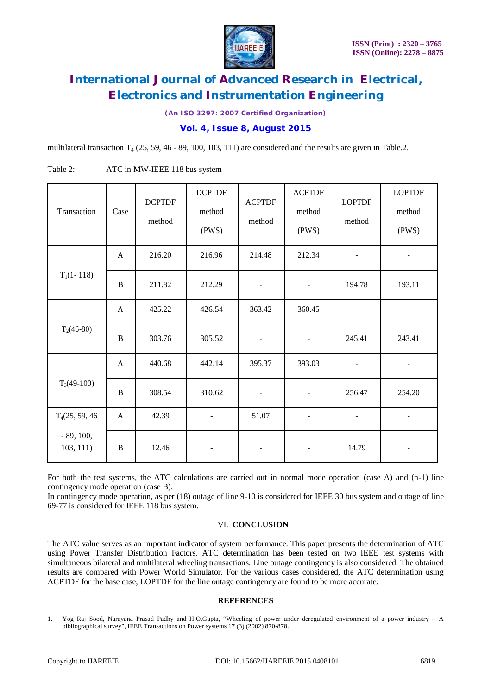

*(An ISO 3297: 2007 Certified Organization)*

**Vol. 4, Issue 8, August 2015**

multilateral transaction  $T_4$  (25, 59, 46 - 89, 100, 103, 111) are considered and the results are given in Table.2.

| Transaction                 | Case | <b>DCPTDF</b><br>method | <b>DCPTDF</b><br>method<br>(PWS) | <b>ACPTDF</b><br>method | <b>ACPTDF</b><br>method<br>(PWS) | <b>LOPTDF</b><br>method  | <b>LOPTDF</b><br>method<br>(PWS) |
|-----------------------------|------|-------------------------|----------------------------------|-------------------------|----------------------------------|--------------------------|----------------------------------|
| $T_1(1-118)$                | A    | 216.20                  | 216.96                           | 214.48                  | 212.34                           | $\overline{\phantom{a}}$ | $\sim$                           |
|                             | B    | 211.82                  | 212.29                           | $\blacksquare$          | $\overline{\phantom{a}}$         | 194.78                   | 193.11                           |
| $T_2(46-80)$                | A    | 425.22                  | 426.54                           | 363.42                  | 360.45                           |                          |                                  |
|                             | B    | 303.76                  | 305.52                           | $\blacksquare$          | $\qquad \qquad \blacksquare$     | 245.41                   | 243.41                           |
| $T_3(49-100)$               | A    | 440.68                  | 442.14                           | 395.37                  | 393.03                           | $\blacksquare$           | $\sim$                           |
|                             | B    | 308.54                  | 310.62                           | $\blacksquare$          | $\overline{\phantom{0}}$         | 256.47                   | 254.20                           |
| T <sub>4</sub> (25, 59, 46) | A    | 42.39                   |                                  | 51.07                   |                                  | $\blacksquare$           | $\sim$                           |
| $-89, 100,$<br>103, 111)    | B    | 12.46                   |                                  |                         |                                  | 14.79                    |                                  |

Table 2: ATC in MW-IEEE 118 bus system

For both the test systems, the ATC calculations are carried out in normal mode operation (case A) and (n-1) line contingency mode operation (case B).

In contingency mode operation, as per (18) outage of line 9-10 is considered for IEEE 30 bus system and outage of line 69-77 is considered for IEEE 118 bus system.

### VI. **CONCLUSION**

The ATC value serves as an important indicator of system performance. This paper presents the determination of ATC using Power Transfer Distribution Factors. ATC determination has been tested on two IEEE test systems with simultaneous bilateral and multilateral wheeling transactions. Line outage contingency is also considered. The obtained results are compared with Power World Simulator. For the various cases considered, the ATC determination using ACPTDF for the base case, LOPTDF for the line outage contingency are found to be more accurate.

### **REFERENCES**

<sup>1.</sup> Yog Raj Sood, Narayana Prasad Padhy and H.O.Gupta, "Wheeling of power under deregulated environment of a power industry – A bibliographical survey", IEEE Transactions on Power systems 17 (3) (2002) 870-878.